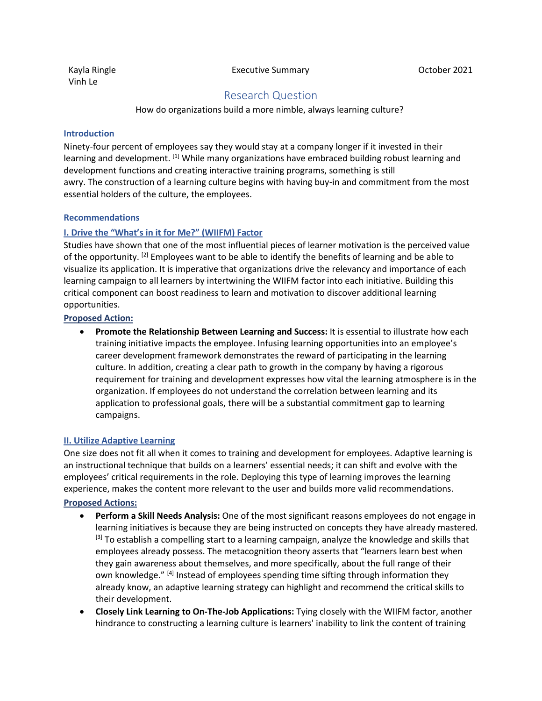Kayla Ringle Vinh Le

Executive Summary **Executive Summary CE** 

# Research Question

How do organizations build a more nimble, always learning culture?

#### **Introduction**

Ninety-four percent of employees say they would stay at a company longer if it invested in their learning and development. <sup>[1]</sup> While many organizations have embraced building robust learning and development functions and creating interactive training programs, something is still awry. The construction of a learning culture begins with having buy-in and commitment from the most essential holders of the culture, the employees.

#### **Recommendations**

# **I. Drive the "What's in it for Me?" (WIIFM) Factor**

Studies have shown that one of the most influential pieces of learner motivation is the perceived value of the opportunity. <sup>[2]</sup> Employees want to be able to identify the benefits of learning and be able to visualize its application. It is imperative that organizations drive the relevancy and importance of each learning campaign to all learners by intertwining the WIIFM factor into each initiative. Building this critical component can boost readiness to learn and motivation to discover additional learning opportunities.

#### **Proposed Action:**

• **Promote the Relationship Between Learning and Success:** It is essential to illustrate how each training initiative impacts the employee. Infusing learning opportunities into an employee's career development framework demonstrates the reward of participating in the learning culture. In addition, creating a clear path to growth in the company by having a rigorous requirement for training and development expresses how vital the learning atmosphere is in the organization. If employees do not understand the correlation between learning and its application to professional goals, there will be a substantial commitment gap to learning campaigns.

# **II. Utilize Adaptive Learning**

One size does not fit all when it comes to training and development for employees. Adaptive learning is an instructional technique that builds on a learners' essential needs; it can shift and evolve with the employees' critical requirements in the role. Deploying this type of learning improves the learning experience, makes the content more relevant to the user and builds more valid recommendations.

#### **Proposed Actions:**

- **Perform a Skill Needs Analysis:** One of the most significant reasons employees do not engage in learning initiatives is because they are being instructed on concepts they have already mastered. <sup>[3]</sup> To establish a compelling start to a learning campaign, analyze the knowledge and skills that employees already possess. The metacognition theory asserts that "learners learn best when they gain awareness about themselves, and more specifically, about the full range of their own knowledge." <sup>[4]</sup> Instead of employees spending time sifting through information they already know, an adaptive learning strategy can highlight and recommend the critical skills to their development.
- **Closely Link Learning to On-The-Job Applications:** Tying closely with the WIIFM factor, another hindrance to constructing a learning culture is learners' inability to link the content of training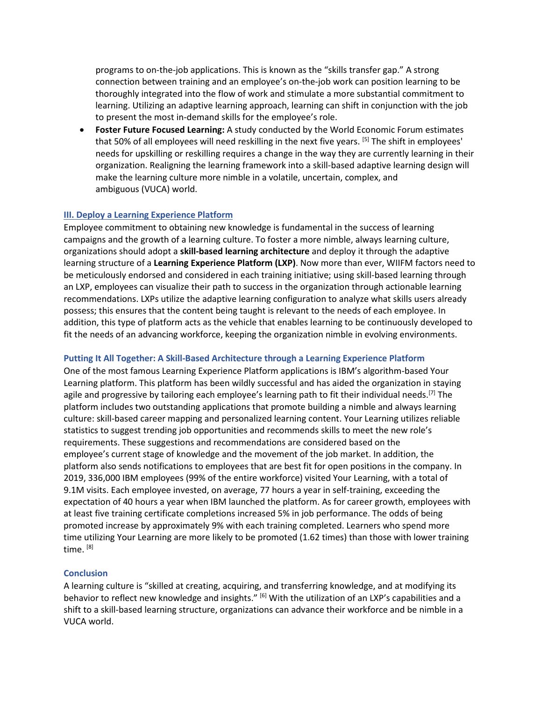programs to on-the-job applications. This is known as the "skills transfer gap." A strong connection between training and an employee's on-the-job work can position learning to be thoroughly integrated into the flow of work and stimulate a more substantial commitment to learning. Utilizing an adaptive learning approach, learning can shift in conjunction with the job to present the most in-demand skills for the employee's role.

• **Foster Future Focused Learning:** A study conducted by the World Economic Forum estimates that 50% of all employees will need reskilling in the next five years. [5] The shift in employees' needs for upskilling or reskilling requires a change in the way they are currently learning in their organization. Realigning the learning framework into a skill-based adaptive learning design will make the learning culture more nimble in a volatile, uncertain, complex, and ambiguous (VUCA) world.

# **III. Deploy a Learning Experience Platform**

Employee commitment to obtaining new knowledge is fundamental in the success of learning campaigns and the growth of a learning culture. To foster a more nimble, always learning culture, organizations should adopt a **skill-based learning architecture** and deploy it through the adaptive learning structure of a **Learning Experience Platform (LXP)**. Now more than ever, WIIFM factors need to be meticulously endorsed and considered in each training initiative; using skill-based learning through an LXP, employees can visualize their path to success in the organization through actionable learning recommendations. LXPs utilize the adaptive learning configuration to analyze what skills users already possess; this ensures that the content being taught is relevant to the needs of each employee. In addition, this type of platform acts as the vehicle that enables learning to be continuously developed to fit the needs of an advancing workforce, keeping the organization nimble in evolving environments.

# **Putting It All Together: A Skill-Based Architecture through a Learning Experience Platform**

One of the most famous Learning Experience Platform applications is IBM's algorithm-based Your Learning platform. This platform has been wildly successful and has aided the organization in staying agile and progressive by tailoring each employee's learning path to fit their individual needs.<sup>[7]</sup> The platform includes two outstanding applications that promote building a nimble and always learning culture: skill-based career mapping and personalized learning content. Your Learning utilizes reliable statistics to suggest trending job opportunities and recommends skills to meet the new role's requirements. These suggestions and recommendations are considered based on the employee's current stage of knowledge and the movement of the job market. In addition, the platform also sends notifications to employees that are best fit for open positions in the company. In 2019, 336,000 IBM employees (99% of the entire workforce) visited Your Learning, with a total of 9.1M visits. Each employee invested, on average, 77 hours a year in self-training, exceeding the expectation of 40 hours a year when IBM launched the platform. As for career growth, employees with at least five training certificate completions increased 5% in job performance. The odds of being promoted increase by approximately 9% with each training completed. Learners who spend more time utilizing Your Learning are more likely to be promoted (1.62 times) than those with lower training time. [8]

#### **Conclusion**

A learning culture is "skilled at creating, acquiring, and transferring knowledge, and at modifying its behavior to reflect new knowledge and insights." [6] With the utilization of an LXP's capabilities and a shift to a skill-based learning structure, organizations can advance their workforce and be nimble in a VUCA world.